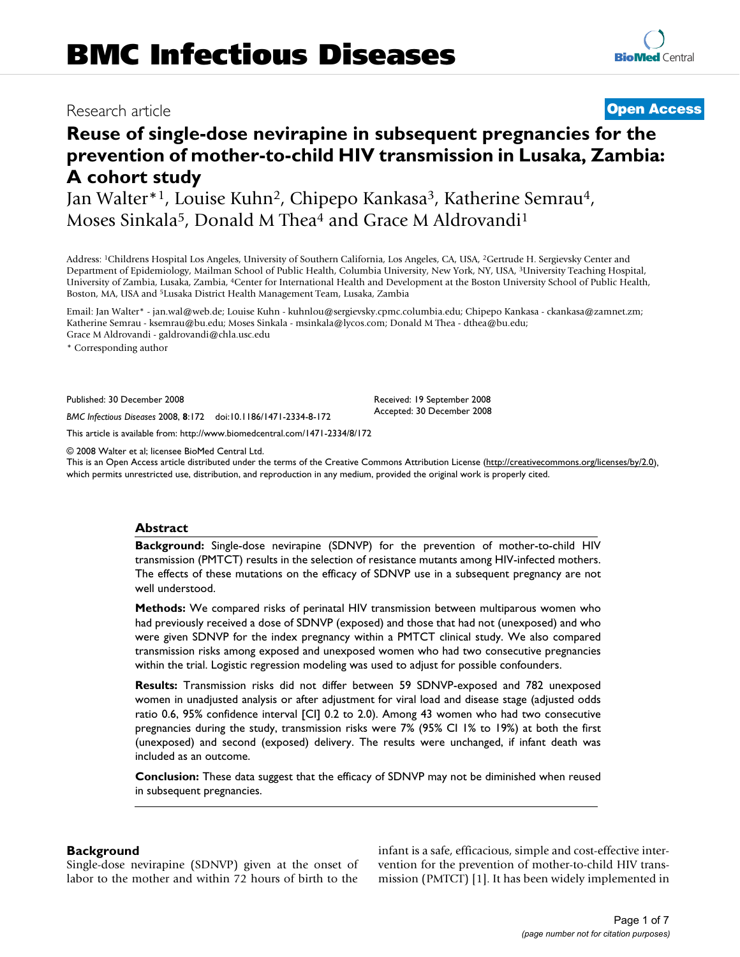# **Reuse of single-dose nevirapine in subsequent pregnancies for the prevention of mother-to-child HIV transmission in Lusaka, Zambia: A cohort study**

Jan Walter\*1, Louise Kuhn2, Chipepo Kankasa3, Katherine Semrau4, Moses Sinkala<sup>5</sup>, Donald M Thea<sup>4</sup> and Grace M Aldrovandi<sup>1</sup>

Address: 1Childrens Hospital Los Angeles, University of Southern California, Los Angeles, CA, USA, 2Gertrude H. Sergievsky Center and Department of Epidemiology, Mailman School of Public Health, Columbia University, New York, NY, USA, 3University Teaching Hospital, University of Zambia, Lusaka, Zambia, 4Center for International Health and Development at the Boston University School of Public Health, Boston, MA, USA and 5Lusaka District Health Management Team, Lusaka, Zambia

Email: Jan Walter\* - jan.wal@web.de; Louise Kuhn - kuhnlou@sergievsky.cpmc.columbia.edu; Chipepo Kankasa - ckankasa@zamnet.zm; Katherine Semrau - ksemrau@bu.edu; Moses Sinkala - msinkala@lycos.com; Donald M Thea - dthea@bu.edu; Grace M Aldrovandi - galdrovandi@chla.usc.edu

\* Corresponding author

Published: 30 December 2008

*BMC Infectious Diseases* 2008, **8**:172 doi:10.1186/1471-2334-8-172

[This article is available from: http://www.biomedcentral.com/1471-2334/8/172](http://www.biomedcentral.com/1471-2334/8/172)

© 2008 Walter et al; licensee BioMed Central Ltd.

This is an Open Access article distributed under the terms of the Creative Commons Attribution License [\(http://creativecommons.org/licenses/by/2.0\)](http://creativecommons.org/licenses/by/2.0), which permits unrestricted use, distribution, and reproduction in any medium, provided the original work is properly cited.

#### **Abstract**

**Background:** Single-dose nevirapine (SDNVP) for the prevention of mother-to-child HIV transmission (PMTCT) results in the selection of resistance mutants among HIV-infected mothers. The effects of these mutations on the efficacy of SDNVP use in a subsequent pregnancy are not well understood.

**Methods:** We compared risks of perinatal HIV transmission between multiparous women who had previously received a dose of SDNVP (exposed) and those that had not (unexposed) and who were given SDNVP for the index pregnancy within a PMTCT clinical study. We also compared transmission risks among exposed and unexposed women who had two consecutive pregnancies within the trial. Logistic regression modeling was used to adjust for possible confounders.

**Results:** Transmission risks did not differ between 59 SDNVP-exposed and 782 unexposed women in unadjusted analysis or after adjustment for viral load and disease stage (adjusted odds ratio 0.6, 95% confidence interval [CI] 0.2 to 2.0). Among 43 women who had two consecutive pregnancies during the study, transmission risks were 7% (95% CI 1% to 19%) at both the first (unexposed) and second (exposed) delivery. The results were unchanged, if infant death was included as an outcome.

**Conclusion:** These data suggest that the efficacy of SDNVP may not be diminished when reused in subsequent pregnancies.

#### **Background**

Single-dose nevirapine (SDNVP) given at the onset of labor to the mother and within 72 hours of birth to the

infant is a safe, efficacious, simple and cost-effective intervention for the prevention of mother-to-child HIV transmission (PMTCT) [1]. It has been widely implemented in

## Research article **[Open Access](http://www.biomedcentral.com/info/about/charter/)**

Received: 19 September 2008 Accepted: 30 December 2008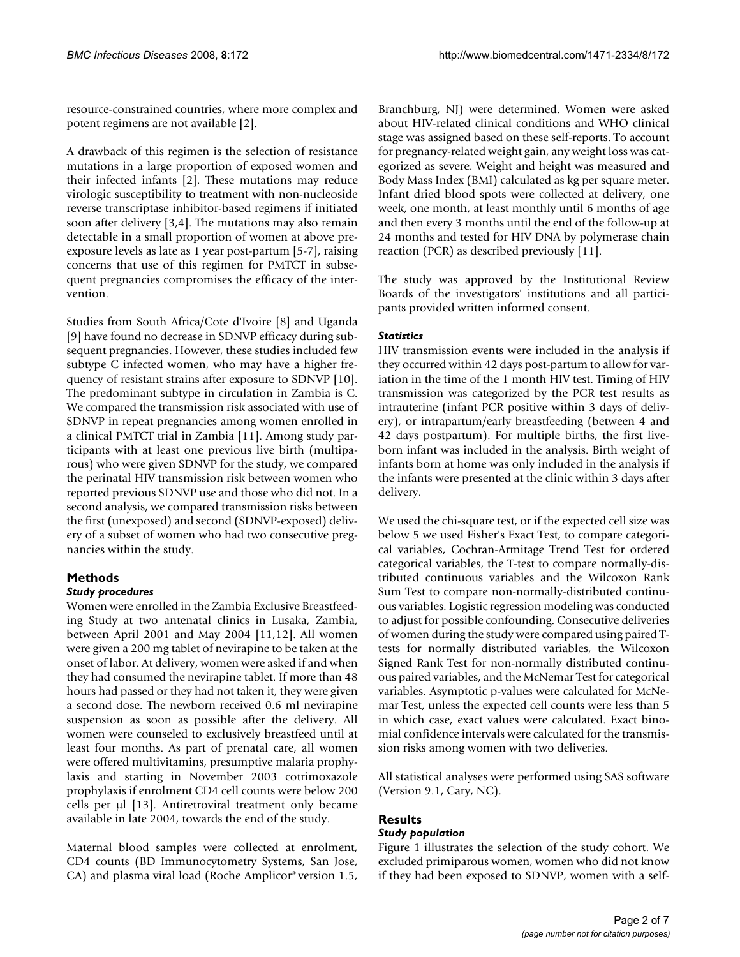resource-constrained countries, where more complex and potent regimens are not available [2].

A drawback of this regimen is the selection of resistance mutations in a large proportion of exposed women and their infected infants [2]. These mutations may reduce virologic susceptibility to treatment with non-nucleoside reverse transcriptase inhibitor-based regimens if initiated soon after delivery [3,4]. The mutations may also remain detectable in a small proportion of women at above preexposure levels as late as 1 year post-partum [5-7], raising concerns that use of this regimen for PMTCT in subsequent pregnancies compromises the efficacy of the intervention.

Studies from South Africa/Cote d'Ivoire [8] and Uganda [9] have found no decrease in SDNVP efficacy during subsequent pregnancies. However, these studies included few subtype C infected women, who may have a higher frequency of resistant strains after exposure to SDNVP [10]. The predominant subtype in circulation in Zambia is C. We compared the transmission risk associated with use of SDNVP in repeat pregnancies among women enrolled in a clinical PMTCT trial in Zambia [11]. Among study participants with at least one previous live birth (multiparous) who were given SDNVP for the study, we compared the perinatal HIV transmission risk between women who reported previous SDNVP use and those who did not. In a second analysis, we compared transmission risks between the first (unexposed) and second (SDNVP-exposed) delivery of a subset of women who had two consecutive pregnancies within the study.

# **Methods**

#### *Study procedures*

Women were enrolled in the Zambia Exclusive Breastfeeding Study at two antenatal clinics in Lusaka, Zambia, between April 2001 and May 2004 [11,12]. All women were given a 200 mg tablet of nevirapine to be taken at the onset of labor. At delivery, women were asked if and when they had consumed the nevirapine tablet. If more than 48 hours had passed or they had not taken it, they were given a second dose. The newborn received 0.6 ml nevirapine suspension as soon as possible after the delivery. All women were counseled to exclusively breastfeed until at least four months. As part of prenatal care, all women were offered multivitamins, presumptive malaria prophylaxis and starting in November 2003 cotrimoxazole prophylaxis if enrolment CD4 cell counts were below 200 cells per μl [13]. Antiretroviral treatment only became available in late 2004, towards the end of the study.

Maternal blood samples were collected at enrolment, CD4 counts (BD Immunocytometry Systems, San Jose, CA) and plasma viral load (Roche Amplicor® version 1.5, Branchburg, NJ) were determined. Women were asked about HIV-related clinical conditions and WHO clinical stage was assigned based on these self-reports. To account for pregnancy-related weight gain, any weight loss was categorized as severe. Weight and height was measured and Body Mass Index (BMI) calculated as kg per square meter. Infant dried blood spots were collected at delivery, one week, one month, at least monthly until 6 months of age and then every 3 months until the end of the follow-up at 24 months and tested for HIV DNA by polymerase chain reaction (PCR) as described previously [11].

The study was approved by the Institutional Review Boards of the investigators' institutions and all participants provided written informed consent.

### *Statistics*

HIV transmission events were included in the analysis if they occurred within 42 days post-partum to allow for variation in the time of the 1 month HIV test. Timing of HIV transmission was categorized by the PCR test results as intrauterine (infant PCR positive within 3 days of delivery), or intrapartum/early breastfeeding (between 4 and 42 days postpartum). For multiple births, the first liveborn infant was included in the analysis. Birth weight of infants born at home was only included in the analysis if the infants were presented at the clinic within 3 days after delivery.

We used the chi-square test, or if the expected cell size was below 5 we used Fisher's Exact Test, to compare categorical variables, Cochran-Armitage Trend Test for ordered categorical variables, the T-test to compare normally-distributed continuous variables and the Wilcoxon Rank Sum Test to compare non-normally-distributed continuous variables. Logistic regression modeling was conducted to adjust for possible confounding. Consecutive deliveries of women during the study were compared using paired Ttests for normally distributed variables, the Wilcoxon Signed Rank Test for non-normally distributed continuous paired variables, and the McNemar Test for categorical variables. Asymptotic p-values were calculated for McNemar Test, unless the expected cell counts were less than 5 in which case, exact values were calculated. Exact binomial confidence intervals were calculated for the transmission risks among women with two deliveries.

All statistical analyses were performed using SAS software (Version 9.1, Cary, NC).

### **Results**

#### *Study population*

Figure 1 illustrates the selection of the study cohort. We excluded primiparous women, women who did not know if they had been exposed to SDNVP, women with a self-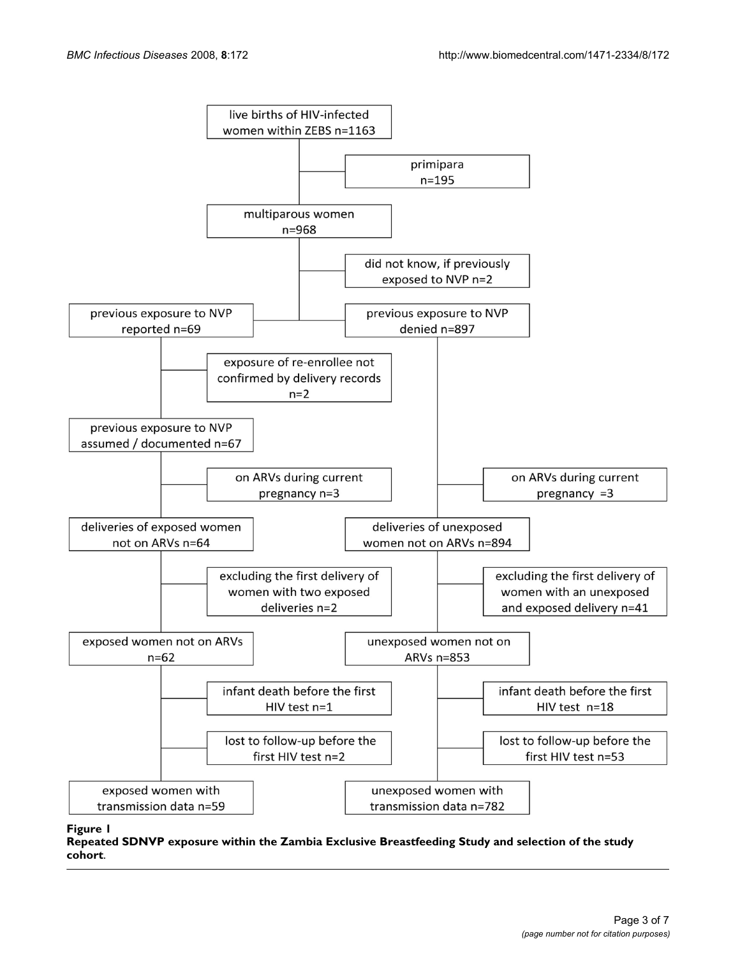

**Repeated SDNVP exposure within the Zambia Exclusive Breastfeeding Study and selection of the study cohort**.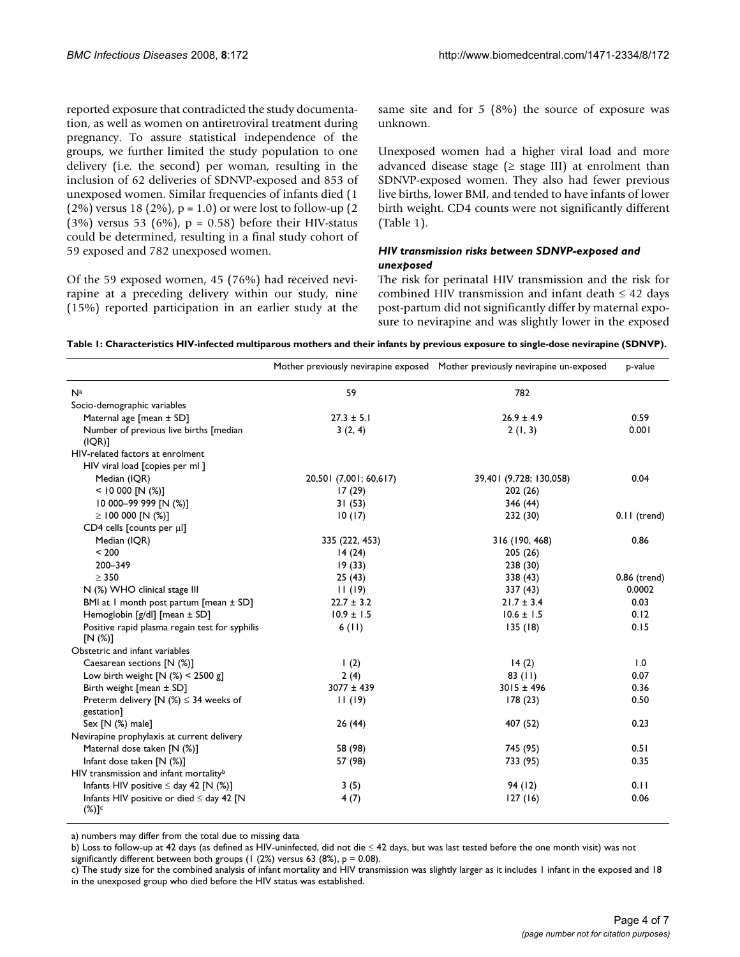reported exposure that contradicted the study documentation, as well as women on antiretroviral treatment during pregnancy. To assure statistical independence of the groups, we further limited the study population to one delivery (i.e. the second) per woman, resulting in the inclusion of 62 deliveries of SDNVP-exposed and 853 of unexposed women. Similar frequencies of infants died (1 (2%) versus 18 (2%),  $p = 1.0$ ) or were lost to follow-up (2) (3%) versus 53 (6%),  $p = 0.58$ ) before their HIV-status could be determined, resulting in a final study cohort of 59 exposed and 782 unexposed women.

Of the 59 exposed women, 45 (76%) had received nevirapine at a preceding delivery within our study, nine (15%) reported participation in an earlier study at the same site and for 5 (8%) the source of exposure was unknown.

Unexposed women had a higher viral load and more advanced disease stage  $(≥$  stage III) at enrolment than SDNVP-exposed women. They also had fewer previous live births, lower BMI, and tended to have infants of lower birth weight. CD4 counts were not significantly different (Table 1).

#### *HIV transmission risks between SDNVP-exposed and unexposed*

The risk for perinatal HIV transmission and the risk for combined HIV transmission and infant death  $\leq 42$  days post-partum did not significantly differ by maternal exposure to nevirapine and was slightly lower in the exposed

| Table 1: Characteristics HIV-infected multiparous mothers and their infants by previous exposure to single-dose nevirapine (SDNVP). |  |  |  |  |
|-------------------------------------------------------------------------------------------------------------------------------------|--|--|--|--|
|-------------------------------------------------------------------------------------------------------------------------------------|--|--|--|--|

|                                                              |                        | Mother previously nevirapine exposed Mother previously nevirapine un-exposed | p-value        |
|--------------------------------------------------------------|------------------------|------------------------------------------------------------------------------|----------------|
| N <sup>a</sup>                                               | 59                     | 782                                                                          |                |
| Socio-demographic variables                                  |                        |                                                                              |                |
| Maternal age [mean ± SD]                                     | $27.3 \pm 5.1$         | $26.9 \pm 4.9$                                                               | 0.59           |
| Number of previous live births [median<br>(IQR)]             | 3(2, 4)                | 2(1, 3)                                                                      | 0.001          |
| HIV-related factors at enrolment                             |                        |                                                                              |                |
| HIV viral load [copies per ml]                               |                        |                                                                              |                |
| Median (IQR)                                                 | 20,501 (7,001; 60,617) | 39,401 (9,728; 130,058)                                                      | 0.04           |
| $<$ 10 000 [N $(\%)$ ]                                       | 17(29)                 | 202(26)                                                                      |                |
| 10 000-99 999 [N (%)]                                        | 31(53)                 | 346 (44)                                                                     |                |
| $\geq$ 100 000 [N (%)]                                       | 10(17)                 | 232(30)                                                                      | $0.11$ (trend) |
| CD4 cells [counts per µl]                                    |                        |                                                                              |                |
| Median (IQR)                                                 | 335 (222, 453)         | 316 (190, 468)                                                               | 0.86           |
| < 200                                                        | 14(24)                 | 205(26)                                                                      |                |
| 200-349                                                      | 19(33)                 | 238 (30)                                                                     |                |
| $\geq 350$                                                   | 25(43)                 | 338 (43)                                                                     | 0.86 (trend)   |
| N (%) WHO clinical stage III                                 | 11(19)                 | 337 (43)                                                                     | 0.0002         |
| BMI at I month post partum [mean ± SD]                       | $22.7 \pm 3.2$         | $21.7 \pm 3.4$                                                               | 0.03           |
| Hemoglobin [g/dl] [mean ± SD]                                | $10.9 \pm 1.5$         | $10.6 \pm 1.5$                                                               | 0.12           |
| Positive rapid plasma regain test for syphilis<br>[N (%)]    | 6(11)                  | 135(18)                                                                      | 0.15           |
| Obstetric and infant variables                               |                        |                                                                              |                |
| Caesarean sections [N (%)]                                   | $\frac{1(2)}{2}$       | 14(2)                                                                        | 1.0            |
| Low birth weight $[N (%) < 2500 g]$                          | 2(4)                   | 83(11)                                                                       | 0.07           |
| Birth weight [mean ± SD]                                     | $3077 \pm 439$         | $3015 \pm 496$                                                               | 0.36           |
| Preterm delivery [N $(\%) \leq 34$ weeks of<br>gestation]    | 11(19)                 | 178(23)                                                                      | 0.50           |
| Sex [N (%) male]                                             | 26(44)                 | 407 (52)                                                                     | 0.23           |
| Nevirapine prophylaxis at current delivery                   |                        |                                                                              |                |
| Maternal dose taken [N (%)]                                  | 58 (98)                | 745 (95)                                                                     | 0.51           |
| Infant dose taken [N (%)]                                    | 57 (98)                | 733 (95)                                                                     | 0.35           |
| HIV transmission and infant mortality <sup>b</sup>           |                        |                                                                              |                |
| Infants HIV positive $\leq$ day 42 [N (%)]                   | 3(5)                   | 94 (12)                                                                      | 0.11           |
| Infants HIV positive or died $\leq$ day 42 [N<br>$(\%)]^{c}$ | 4(7)                   | 127(16)                                                                      | 0.06           |

a) numbers may differ from the total due to missing data

b) Loss to follow-up at 42 days (as defined as HIV-uninfected, did not die ≤ 42 days, but was last tested before the one month visit) was not

significantly different between both groups (1 (2%) versus 63 (8%),  $p = 0.08$ ).

c) The study size for the combined analysis of infant mortality and HIV transmission was slightly larger as it includes 1 infant in the exposed and 18 in the unexposed group who died before the HIV status was established.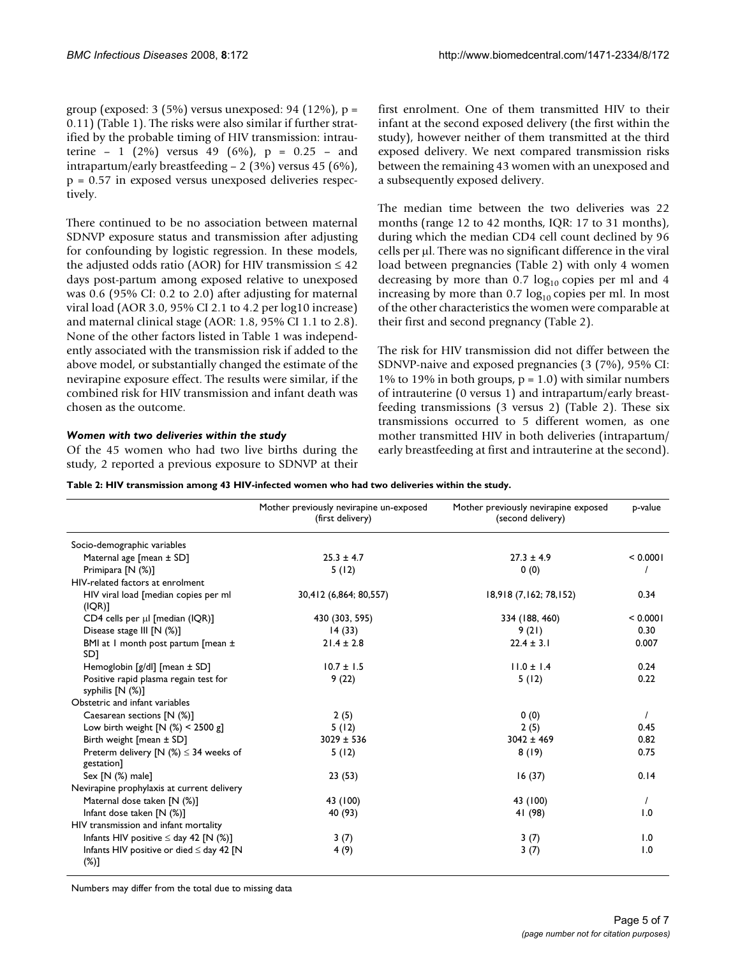group (exposed: 3 (5%) versus unexposed: 94 (12%),  $p =$ 0.11) (Table 1). The risks were also similar if further stratified by the probable timing of HIV transmission: intrauterine - 1 (2%) versus 49 (6%),  $p = 0.25$  - and intrapartum/early breastfeeding – 2 (3%) versus 45 (6%), p = 0.57 in exposed versus unexposed deliveries respectively.

There continued to be no association between maternal SDNVP exposure status and transmission after adjusting for confounding by logistic regression. In these models, the adjusted odds ratio (AOR) for HIV transmission  $\leq 42$ days post-partum among exposed relative to unexposed was 0.6 (95% CI: 0.2 to 2.0) after adjusting for maternal viral load (AOR 3.0, 95% CI 2.1 to 4.2 per log10 increase) and maternal clinical stage (AOR: 1.8, 95% CI 1.1 to 2.8). None of the other factors listed in Table 1 was independently associated with the transmission risk if added to the above model, or substantially changed the estimate of the nevirapine exposure effect. The results were similar, if the combined risk for HIV transmission and infant death was chosen as the outcome.

#### *Women with two deliveries within the study*

Of the 45 women who had two live births during the study, 2 reported a previous exposure to SDNVP at their first enrolment. One of them transmitted HIV to their infant at the second exposed delivery (the first within the study), however neither of them transmitted at the third exposed delivery. We next compared transmission risks between the remaining 43 women with an unexposed and a subsequently exposed delivery.

The median time between the two deliveries was 22 months (range 12 to 42 months, IQR: 17 to 31 months), during which the median CD4 cell count declined by 96 cells per μl. There was no significant difference in the viral load between pregnancies (Table 2) with only 4 women decreasing by more than 0.7  $log_{10}$  copies per ml and 4 increasing by more than  $0.7 \log_{10}$  copies per ml. In most of the other characteristics the women were comparable at their first and second pregnancy (Table 2).

The risk for HIV transmission did not differ between the SDNVP-naive and exposed pregnancies (3 (7%), 95% CI: 1% to 19% in both groups,  $p = 1.0$ ) with similar numbers of intrauterine (0 versus 1) and intrapartum/early breastfeeding transmissions (3 versus 2) (Table 2). These six transmissions occurred to 5 different women, as one mother transmitted HIV in both deliveries (intrapartum/ early breastfeeding at first and intrauterine at the second).

**Table 2: HIV transmission among 43 HIV-infected women who had two deliveries within the study.**

|                                                           | Mother previously nevirapine un-exposed<br>(first delivery) | Mother previously nevirapine exposed<br>(second delivery) | p-value  |
|-----------------------------------------------------------|-------------------------------------------------------------|-----------------------------------------------------------|----------|
| Socio-demographic variables                               |                                                             |                                                           |          |
| Maternal age [mean ± SD]                                  | $25.3 \pm 4.7$                                              | $27.3 \pm 4.9$                                            | < 0.0001 |
| Primipara [N (%)]                                         | 5(12)                                                       | 0(0)                                                      |          |
| HIV-related factors at enrolment                          |                                                             |                                                           |          |
| HIV viral load [median copies per ml<br>I(QR)             | 30,412 (6,864; 80,557)                                      | 18,918 (7,162; 78,152)                                    | 0.34     |
| CD4 cells per µl [median (IQR)]                           | 430 (303, 595)                                              | 334 (188, 460)                                            | < 0.0001 |
| Disease stage III [N (%)]                                 | 14(33)                                                      | 9(21)                                                     | 0.30     |
| BMI at I month post partum [mean ±<br>SD]                 | $21.4 \pm 2.8$                                              | $22.4 \pm 3.1$                                            | 0.007    |
| Hemoglobin $[g/d]$ [mean $\pm$ SD]                        | $10.7 \pm 1.5$                                              | $11.0 \pm 1.4$                                            | 0.24     |
| Positive rapid plasma regain test for<br>syphilis [N (%)] | 9(22)                                                       | 5(12)                                                     | 0.22     |
| Obstetric and infant variables                            |                                                             |                                                           |          |
| Caesarean sections [N (%)]                                | 2(5)                                                        | 0(0)                                                      |          |
| Low birth weight $[N (%) < 2500 g]$                       | 5(12)                                                       | 2(5)                                                      | 0.45     |
| Birth weight [mean ± SD]                                  | $3029 \pm 536$                                              | $3042 \pm 469$                                            | 0.82     |
| Preterm delivery $[N (%) \leq 34$ weeks of<br>gestation]  | 5(12)                                                       | 8(19)                                                     | 0.75     |
| Sex $[N \ (\%)$ male]                                     | 23(53)                                                      | 16(37)                                                    | 0.14     |
| Nevirapine prophylaxis at current delivery                |                                                             |                                                           |          |
| Maternal dose taken [N (%)]                               | 43 (100)                                                    | 43 (100)                                                  |          |
| Infant dose taken [N (%)]                                 | 40 (93)                                                     | 41 (98)                                                   | 1.0      |
| HIV transmission and infant mortality                     |                                                             |                                                           |          |
| Infants HIV positive $\leq$ day 42 [N $(\%)$ ]            | 3(7)                                                        | 3(7)                                                      | 1.0      |
| Infants HIV positive or died ≤ day 42 [N<br>$(\%)$ ]      | 4(9)                                                        | 3(7)                                                      | 1.0      |

Numbers may differ from the total due to missing data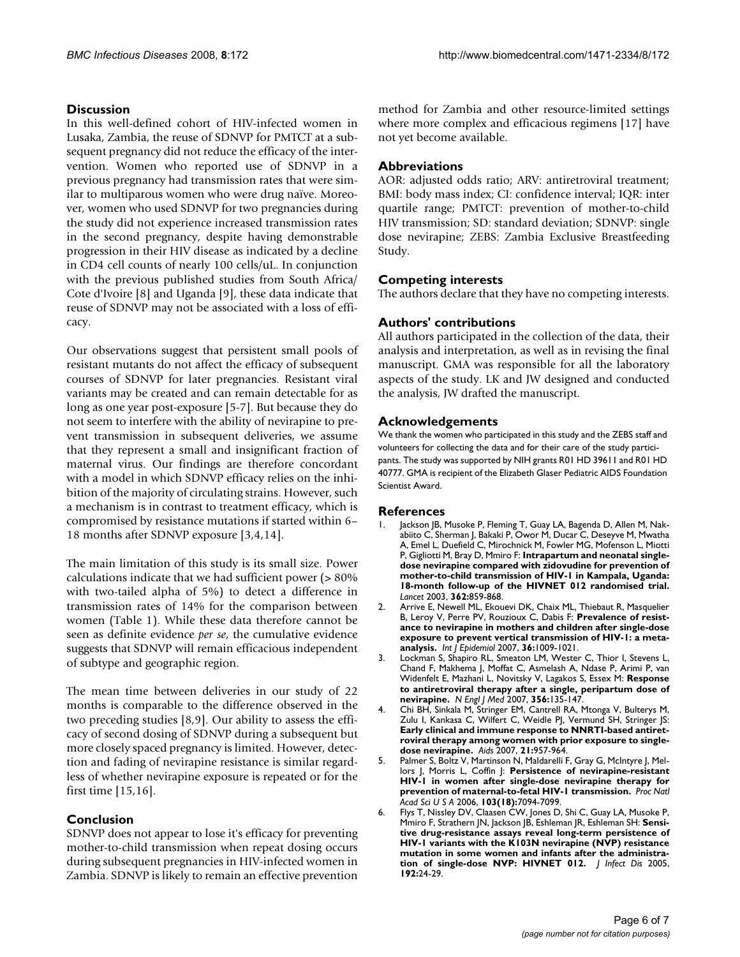### **Discussion**

In this well-defined cohort of HIV-infected women in Lusaka, Zambia, the reuse of SDNVP for PMTCT at a subsequent pregnancy did not reduce the efficacy of the intervention. Women who reported use of SDNVP in a previous pregnancy had transmission rates that were similar to multiparous women who were drug naïve. Moreover, women who used SDNVP for two pregnancies during the study did not experience increased transmission rates in the second pregnancy, despite having demonstrable progression in their HIV disease as indicated by a decline in CD4 cell counts of nearly 100 cells/uL. In conjunction with the previous published studies from South Africa/ Cote d'Ivoire [8] and Uganda [9], these data indicate that reuse of SDNVP may not be associated with a loss of efficacy.

Our observations suggest that persistent small pools of resistant mutants do not affect the efficacy of subsequent courses of SDNVP for later pregnancies. Resistant viral variants may be created and can remain detectable for as long as one year post-exposure [5-7]. But because they do not seem to interfere with the ability of nevirapine to prevent transmission in subsequent deliveries, we assume that they represent a small and insignificant fraction of maternal virus. Our findings are therefore concordant with a model in which SDNVP efficacy relies on the inhibition of the majority of circulating strains. However, such a mechanism is in contrast to treatment efficacy, which is compromised by resistance mutations if started within 6– 18 months after SDNVP exposure [3,4,14].

The main limitation of this study is its small size. Power calculations indicate that we had sufficient power (> 80% with two-tailed alpha of 5%) to detect a difference in transmission rates of 14% for the comparison between women (Table 1). While these data therefore cannot be seen as definite evidence *per se*, the cumulative evidence suggests that SDNVP will remain efficacious independent of subtype and geographic region.

The mean time between deliveries in our study of 22 months is comparable to the difference observed in the two preceding studies [8,9]. Our ability to assess the efficacy of second dosing of SDNVP during a subsequent but more closely spaced pregnancy is limited. However, detection and fading of nevirapine resistance is similar regardless of whether nevirapine exposure is repeated or for the first time [15,16].

#### **Conclusion**

SDNVP does not appear to lose it's efficacy for preventing mother-to-child transmission when repeat dosing occurs during subsequent pregnancies in HIV-infected women in Zambia. SDNVP is likely to remain an effective prevention method for Zambia and other resource-limited settings where more complex and efficacious regimens [17] have not yet become available.

### **Abbreviations**

AOR: adjusted odds ratio; ARV: antiretroviral treatment; BMI: body mass index; CI: confidence interval; IQR: inter quartile range; PMTCT: prevention of mother-to-child HIV transmission; SD: standard deviation; SDNVP: single dose nevirapine; ZEBS: Zambia Exclusive Breastfeeding Study.

### **Competing interests**

The authors declare that they have no competing interests.

### **Authors' contributions**

All authors participated in the collection of the data, their analysis and interpretation, as well as in revising the final manuscript. GMA was responsible for all the laboratory aspects of the study. LK and JW designed and conducted the analysis, JW drafted the manuscript.

#### **Acknowledgements**

We thank the women who participated in this study and the ZEBS staff and volunteers for collecting the data and for their care of the study participants. The study was supported by NIH grants R01 HD 39611 and R01 HD 40777. GMA is recipient of the Elizabeth Glaser Pediatric AIDS Foundation Scientist Award.

#### **References**

- 1. Jackson JB, Musoke P, Fleming T, Guay LA, Bagenda D, Allen M, Nakabiito C, Sherman J, Bakaki P, Owor M, Ducar C, Deseyve M, Mwatha A, Emel L, Duefield C, Mirochnick M, Fowler MG, Mofenson L, Miotti P, Gigliotti M, Bray D, Mmiro F: **[Intrapartum and neonatal single](http://www.ncbi.nlm.nih.gov/entrez/query.fcgi?cmd=Retrieve&db=PubMed&dopt=Abstract&list_uids=13678973)[dose nevirapine compared with zidovudine for prevention of](http://www.ncbi.nlm.nih.gov/entrez/query.fcgi?cmd=Retrieve&db=PubMed&dopt=Abstract&list_uids=13678973) mother-to-child transmission of HIV-1 in Kampala, Uganda: 18-month follow-up of the HIVNET 012 randomised trial.** *Lancet* 2003, **362:**859-868.
- 2. Arrive E, Newell ML, Ekouevi DK, Chaix ML, Thiebaut R, Masquelier B, Leroy V, Perre PV, Rouzioux C, Dabis F: **[Prevalence of resist](http://www.ncbi.nlm.nih.gov/entrez/query.fcgi?cmd=Retrieve&db=PubMed&dopt=Abstract&list_uids=17533166)[ance to nevirapine in mothers and children after single-dose](http://www.ncbi.nlm.nih.gov/entrez/query.fcgi?cmd=Retrieve&db=PubMed&dopt=Abstract&list_uids=17533166) exposure to prevent vertical transmission of HIV-1: a meta[analysis.](http://www.ncbi.nlm.nih.gov/entrez/query.fcgi?cmd=Retrieve&db=PubMed&dopt=Abstract&list_uids=17533166)** *Int J Epidemiol* 2007, **36:**1009-1021.
- 3. Lockman S, Shapiro RL, Smeaton LM, Wester C, Thior I, Stevens L, Chand F, Makhema J, Moffat C, Asmelash A, Ndase P, Arimi P, van Widenfelt E, Mazhani L, Novitsky V, Lagakos S, Essex M: **[Response](http://www.ncbi.nlm.nih.gov/entrez/query.fcgi?cmd=Retrieve&db=PubMed&dopt=Abstract&list_uids=17215531) [to antiretroviral therapy after a single, peripartum dose of](http://www.ncbi.nlm.nih.gov/entrez/query.fcgi?cmd=Retrieve&db=PubMed&dopt=Abstract&list_uids=17215531) [nevirapine.](http://www.ncbi.nlm.nih.gov/entrez/query.fcgi?cmd=Retrieve&db=PubMed&dopt=Abstract&list_uids=17215531)** *N Engl J Med* 2007, **356:**135-147.
- 4. Chi BH, Sinkala M, Stringer EM, Cantrell RA, Mtonga V, Bulterys M, Zulu I, Kankasa C, Wilfert C, Weidle PJ, Vermund SH, Stringer JS: **[Early clinical and immune response to NNRTI-based antiret](http://www.ncbi.nlm.nih.gov/entrez/query.fcgi?cmd=Retrieve&db=PubMed&dopt=Abstract&list_uids=17457089)roviral therapy among women with prior exposure to single[dose nevirapine.](http://www.ncbi.nlm.nih.gov/entrez/query.fcgi?cmd=Retrieve&db=PubMed&dopt=Abstract&list_uids=17457089)** *Aids* 2007, **21:**957-964.
- 5. Palmer S, Boltz V, Martinson N, Maldarelli F, Gray G, McIntyre J, Mellors J, Morris L, Coffin J: **[Persistence of nevirapine-resistant](http://www.ncbi.nlm.nih.gov/entrez/query.fcgi?cmd=Retrieve&db=PubMed&dopt=Abstract&list_uids=16641095) [HIV-1 in women after single-dose nevirapine therapy for](http://www.ncbi.nlm.nih.gov/entrez/query.fcgi?cmd=Retrieve&db=PubMed&dopt=Abstract&list_uids=16641095) [prevention of maternal-to-fetal HIV-1 transmission.](http://www.ncbi.nlm.nih.gov/entrez/query.fcgi?cmd=Retrieve&db=PubMed&dopt=Abstract&list_uids=16641095)** *Proc Natl Acad Sci U S A* 2006, **103(18):**7094-7099.
- 6. Flys T, Nissley DV, Claasen CW, Jones D, Shi C, Guay LA, Musoke P, Mmiro F, Strathern JN, Jackson JB, Eshleman JR, Eshleman SH: **[Sensi](http://www.ncbi.nlm.nih.gov/entrez/query.fcgi?cmd=Retrieve&db=PubMed&dopt=Abstract&list_uids=15942890)[tive drug-resistance assays reveal long-term persistence of](http://www.ncbi.nlm.nih.gov/entrez/query.fcgi?cmd=Retrieve&db=PubMed&dopt=Abstract&list_uids=15942890) HIV-1 variants with the K103N nevirapine (NVP) resistance mutation in some women and infants after the administra[tion of single-dose NVP: HIVNET 012.](http://www.ncbi.nlm.nih.gov/entrez/query.fcgi?cmd=Retrieve&db=PubMed&dopt=Abstract&list_uids=15942890)** *J Infect Dis* 2005, **192:**24-29.